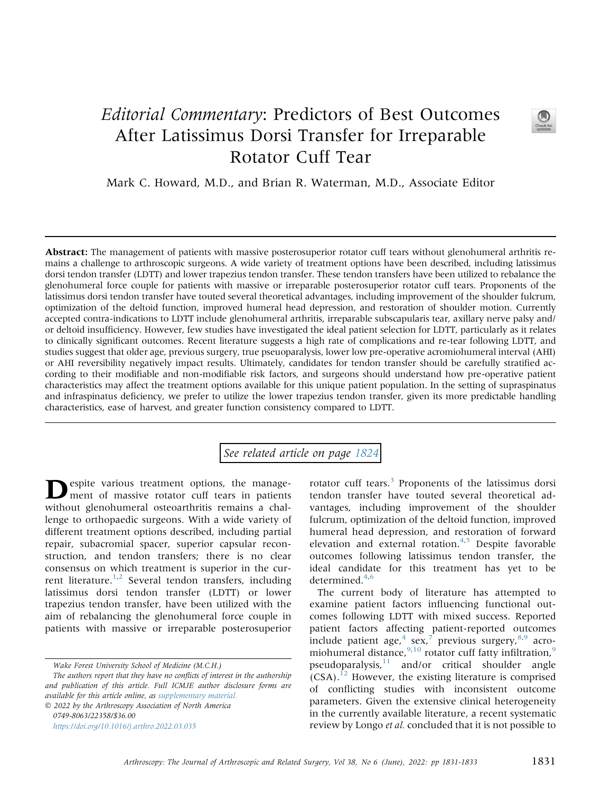## Editorial Commentary: Predictors of Best Outcomes After Latissimus Dorsi Transfer for Irreparable Rotator Cuff Tear



Mark C. Howard, M.D., and Brian R. Waterman, M.D., Associate Editor

Abstract: The management of patients with massive posterosuperior rotator cuff tears without glenohumeral arthritis remains a challenge to arthroscopic surgeons. A wide variety of treatment options have been described, including latissimus dorsi tendon transfer (LDTT) and lower trapezius tendon transfer. These tendon transfers have been utilized to rebalance the glenohumeral force couple for patients with massive or irreparable posterosuperior rotator cuff tears. Proponents of the latissimus dorsi tendon transfer have touted several theoretical advantages, including improvement of the shoulder fulcrum, optimization of the deltoid function, improved humeral head depression, and restoration of shoulder motion. Currently accepted contra-indications to LDTT include glenohumeral arthritis, irreparable subscapularis tear, axillary nerve palsy and/ or deltoid insufficiency. However, few studies have investigated the ideal patient selection for LDTT, particularly as it relates to clinically significant outcomes. Recent literature suggests a high rate of complications and re-tear following LDTT, and studies suggest that older age, previous surgery, true pseuoparalysis, lower low pre-operative acromiohumeral interval (AHI) or AHI reversibility negatively impact results. Ultimately, candidates for tendon transfer should be carefully stratified according to their modifiable and non-modifiable risk factors, and surgeons should understand how pre-operative patient characteristics may affect the treatment options available for this unique patient population. In the setting of supraspinatus and infraspinatus deficiency, we prefer to utilize the lower trapezius tendon transfer, given its more predictable handling characteristics, ease of harvest, and greater function consistency compared to LDTT.

See related article on page [1824](http://www.arthroscopyjournal.org/article/S0749-8063(21)01097-5/abstract)

espite various treatment options, the management of massive rotator cuff tears in patients without glenohumeral osteoarthritis remains a challenge to orthopaedic surgeons. With a wide variety of different treatment options described, including partial repair, subacromial spacer, superior capsular reconstruction, and tendon transfers; there is no clear consensus on which treatment is superior in the cur-rent literature.<sup>[1](#page-1-0)[,2](#page-2-0)</sup> Several tendon transfers, including latissimus dorsi tendon transfer (LDTT) or lower trapezius tendon transfer, have been utilized with the aim of rebalancing the glenohumeral force couple in patients with massive or irreparable posterosuperior

Wake Forest University School of Medicine (M.C.H.)

 2022 by the Arthroscopy Association of North America 0749-8063/22358/\$36.00 <https://doi.org/10.1016/j.arthro.2022.03.035>

rotator cuff tears.<sup>[3](#page-2-1)</sup> Proponents of the latissimus dorsi tendon transfer have touted several theoretical advantages, including improvement of the shoulder fulcrum, optimization of the deltoid function, improved humeral head depression, and restoration of forward elevation and external rotation. $4,5$  $4,5$  Despite favorable outcomes following latissimus tendon transfer, the ideal candidate for this treatment has yet to be determined.<sup>[4](#page-2-2)[,6](#page-2-4)</sup>

The current body of literature has attempted to examine patient factors influencing functional outcomes following LDTT with mixed success. Reported patient factors affecting patient-reported outcomes include patient age,  $4 \text{ sex}$  $4 \text{ sex}$ , previous surgery,  $8.9 \text{ acro}$  $8.9 \text{ acro}$  $8.9 \text{ acro}$ miohumeral distance, <sup>[9](#page-2-7)[,10](#page-2-8)</sup> rotator cuff fatty infiltration,<sup>9</sup>  $pseudoparalysis, <sup>11</sup>$  $pseudoparalysis, <sup>11</sup>$  $pseudoparalysis, <sup>11</sup>$  and/or critical shoulder angle  $(CSA).<sup>12</sup>$  $(CSA).<sup>12</sup>$  $(CSA).<sup>12</sup>$  However, the existing literature is comprised of conflicting studies with inconsistent outcome parameters. Given the extensive clinical heterogeneity in the currently available literature, a recent systematic review by Longo et al. concluded that it is not possible to

The authors report that they have no conflicts of interest in the authorship and publication of this article. Full ICMJE author disclosure forms are available for this article online, as supplementary material.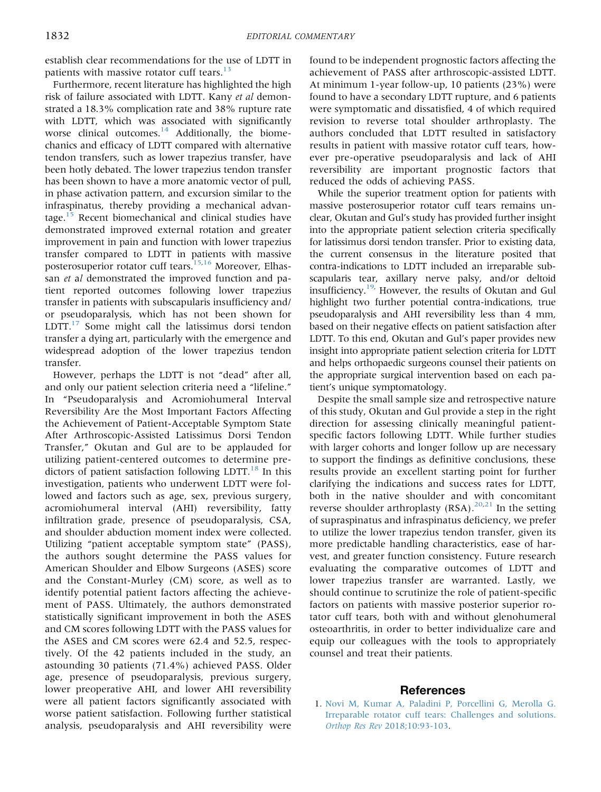establish clear recommendations for the use of LDTT in patients with massive rotator cuff tears. $^{13}$ 

Furthermore, recent literature has highlighted the high risk of failure associated with LDTT. Kany et al demonstrated a 18.3% complication rate and 38% rupture rate with LDTT, which was associated with significantly worse clinical outcomes.<sup>14</sup> Additionally, the biomechanics and efficacy of LDTT compared with alternative tendon transfers, such as lower trapezius transfer, have been hotly debated. The lower trapezius tendon transfer has been shown to have a more anatomic vector of pull, in phase activation pattern, and excursion similar to the infraspinatus, thereby providing a mechanical advan-tage.<sup>[15](#page-2-13)</sup> Recent biomechanical and clinical studies have demonstrated improved external rotation and greater improvement in pain and function with lower trapezius transfer compared to LDTT in patients with massive posterosuperior rotator cuff tears[.15](#page-2-13)[,16](#page-2-14) Moreover, Elhassan *et al* demonstrated the improved function and patient reported outcomes following lower trapezius transfer in patients with subscapularis insufficiency and/ or pseudoparalysis, which has not been shown for  $LDTT<sup>17</sup>$  Some might call the latissimus dorsi tendon transfer a dying art, particularly with the emergence and widespread adoption of the lower trapezius tendon transfer.

However, perhaps the LDTT is not "dead" after all, and only our patient selection criteria need a "lifeline." In "Pseudoparalysis and Acromiohumeral Interval Reversibility Are the Most Important Factors Affecting the Achievement of Patient-Acceptable Symptom State After Arthroscopic-Assisted Latissimus Dorsi Tendon Transfer," Okutan and Gul are to be applauded for utilizing patient-centered outcomes to determine predictors of patient satisfaction following LDTT. $^{18}$  $^{18}$  $^{18}$  In this investigation, patients who underwent LDTT were followed and factors such as age, sex, previous surgery, acromiohumeral interval (AHI) reversibility, fatty infiltration grade, presence of pseudoparalysis, CSA, and shoulder abduction moment index were collected. Utilizing "patient acceptable symptom state" (PASS), the authors sought determine the PASS values for American Shoulder and Elbow Surgeons (ASES) score and the Constant-Murley (CM) score, as well as to identify potential patient factors affecting the achievement of PASS. Ultimately, the authors demonstrated statistically significant improvement in both the ASES and CM scores following LDTT with the PASS values for the ASES and CM scores were 62.4 and 52.5, respectively. Of the 42 patients included in the study, an astounding 30 patients (71.4%) achieved PASS. Older age, presence of pseudoparalysis, previous surgery, lower preoperative AHI, and lower AHI reversibility were all patient factors significantly associated with worse patient satisfaction. Following further statistical analysis, pseudoparalysis and AHI reversibility were

found to be independent prognostic factors affecting the achievement of PASS after arthroscopic-assisted LDTT. At minimum 1-year follow-up, 10 patients (23%) were found to have a secondary LDTT rupture, and 6 patients were symptomatic and dissatisfied, 4 of which required revision to reverse total shoulder arthroplasty. The authors concluded that LDTT resulted in satisfactory results in patient with massive rotator cuff tears, however pre-operative pseudoparalysis and lack of AHI reversibility are important prognostic factors that reduced the odds of achieving PASS.

While the superior treatment option for patients with massive posterosuperior rotator cuff tears remains unclear, Okutan and Gul's study has provided further insight into the appropriate patient selection criteria specifically for latissimus dorsi tendon transfer. Prior to existing data, the current consensus in the literature posited that contra-indications to LDTT included an irreparable subscapularis tear, axillary nerve palsy, and/or deltoid insufficiency.<sup>[19,](#page-2-17)</sup> However, the results of Okutan and Gul highlight two further potential contra-indications, true pseudoparalysis and AHI reversibility less than 4 mm, based on their negative effects on patient satisfaction after LDTT. To this end, Okutan and Gul's paper provides new insight into appropriate patient selection criteria for LDTT and helps orthopaedic surgeons counsel their patients on the appropriate surgical intervention based on each patient's unique symptomatology.

Despite the small sample size and retrospective nature of this study, Okutan and Gul provide a step in the right direction for assessing clinically meaningful patientspecific factors following LDTT. While further studies with larger cohorts and longer follow up are necessary to support the findings as definitive conclusions, these results provide an excellent starting point for further clarifying the indications and success rates for LDTT, both in the native shoulder and with concomitant reverse shoulder arthroplasty (RSA).<sup>[20](#page-2-18)[,21](#page-2-19)</sup> In the setting of supraspinatus and infraspinatus deficiency, we prefer to utilize the lower trapezius tendon transfer, given its more predictable handling characteristics, ease of harvest, and greater function consistency. Future research evaluating the comparative outcomes of LDTT and lower trapezius transfer are warranted. Lastly, we should continue to scrutinize the role of patient-specific factors on patients with massive posterior superior rotator cuff tears, both with and without glenohumeral osteoarthritis, in order to better individualize care and equip our colleagues with the tools to appropriately counsel and treat their patients.

## References

<span id="page-1-0"></span>1. [Novi M, Kumar A, Paladini P, Porcellini G, Merolla G.](http://refhub.elsevier.com/S0749-8063(22)00229-8/sref1) [Irreparable rotator cuff tears: Challenges and solutions.](http://refhub.elsevier.com/S0749-8063(22)00229-8/sref1) Orthop Res Rev [2018;10:93-103](http://refhub.elsevier.com/S0749-8063(22)00229-8/sref1).